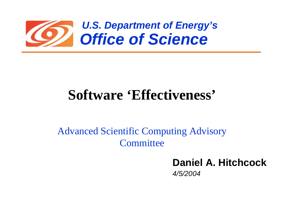

## **Software 'Effectiveness'**

Advanced Scientific Computing Advisory **Committee** 

**Daniel A. Hitchcock**

*4/5/2004*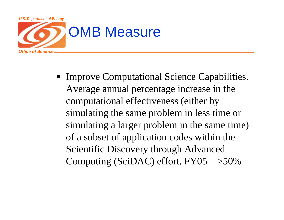

**Improve Computational Science Capabilities.** Average annual percentage increase in the computational effectiveness (either by simulating the same problem in less time or simulating a larger problem in the same time) of a subset of application codes within the Scientific Discovery through Advanced Computing (SciDAC) effort.  $FY05 - >50\%$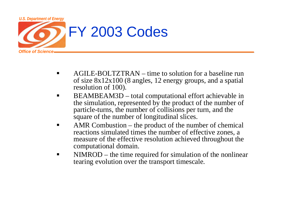

- ш AGILE-BOLTZTRAN – time to solution for a baseline run of size 8x12x100 (8 angles, 12 energy groups, and a spatial resolution of 100).
- $\blacksquare$  BEAMBEAM3D – total computational effort achievable in the simulation, represented by the product of the number of particle-turns, the number of collisions per turn, and the square of the number of longitudinal slices.
- AMR Combustion – the product of the number of chemical reactions simulated times the number of effective zones, a measure of the effective resolution achieved throughout the computational domain.
- П NIMROD – the time required for simulation of the nonlinear tearing evolution over the transport timescale.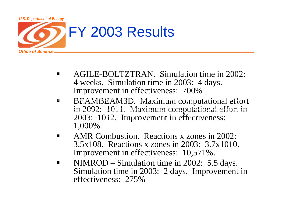

- п AGILE-BOLTZTRAN. Simulation time in 2002: 4 weeks. Simulation time in 2003: 4 days. Improvement in effectiveness: 700%
- N. **AGILE-BOLAMBEAM3D. Maximum computational effort** in 2002: 1011. Maximum computational effort in  $2003: 1012.$  Improvement in effectiveness: 1,000%.  $B_{2}$  maximum computational effort in 2003: 1012. In effective in 2003: 1012. Improvement in effectiveness: 1012. Improvement in effort in effectiveness: 1012. Improvement in effectiveness: 1012. Improvement in effective
	- п AMR Combustion. Reactions x zones in 2002: 3.5x108. Reactions x zones in 2003: 3.7x1010. Improvement in effectiveness: 10,571%.
	- $\blacksquare$  NIMROD – Simulation time in 2002: 5.5 days. Simulation time in 2003: 2 days. Improvement in effectiveness: 275%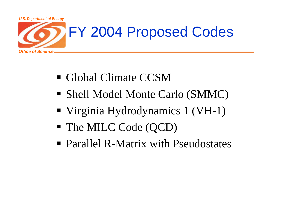

- Global Climate CCSM
- Shell Model Monte Carlo (SMMC)
- Virginia Hydrodynamics 1 (VH-1)
- The MILC Code (QCD)
- Parallel R-Matrix with Pseudostates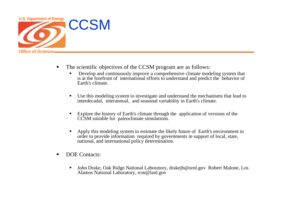

- Ш The scientific objectives of the CCSM program are as follows:
	- П Develop and continuously improve a comprehensive climate modeling system that is at the forefront of international efforts to understand and predict the behavior of Earth's climate.
	- $\blacksquare$  Use this modeling system to investigate and understand the mechanisms that lead to interdecadal, interannual, and seasonal variability in Earth's climate.
	- $\blacksquare$  Explore the history of Earth's climate through the application of versions of the CCSM suitable for paleoclimate simulations.
	- $\blacksquare$  Apply this modeling system to estimate the likely future of Earth's environment in order to provide information required by governments in support of local, state, national, and international policy determination.
- $\blacksquare$ DOE Contacts:
	- $\blacksquare$  John Drake, Oak Ridge National Laboratory, drakejb@ornl.gov Robert Malone, Los Alamos National Laboratory, rcm@lanl.gov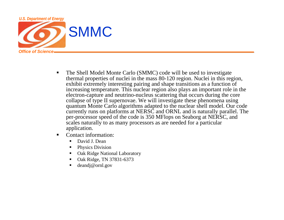

- П The Shell Model Monte Carlo (SMMC) code will be used to investigate thermal properties of nuclei in the mass 80-120 region. Nuclei in this region, exhibit extremely interesting pairing and shape transitions as a function of increasing temperature. This nuclear region also plays an important role in the electron-capture and neutrino-nucleus scattering that occurs during the core collapse of type II supernovae. We will investigate these phenomena using quantum Monte Carlo algorithms adapted to the nuclear shell model. Our code currently runs on platforms at NERSC and ORNL and is naturally parallel. The per-processor speed of the code is 350 MFlops on Seaborg at NERSC, and scales naturally to as many processors as are needed for a particular application.
- Ш Contact information:
	- $\blacksquare$ David J. Dean
	- $\blacksquare$ Physics Division
	- П Oak Ridge National Laboratory
	- $\blacksquare$ Oak Ridge, TN 37831-6373
	- $\blacksquare$ deandj@ornl.gov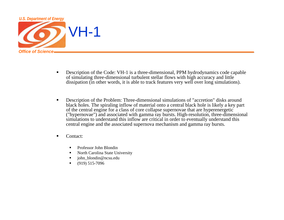

- $\blacksquare$  Description of the Code: VH-1 is a three-dimensional, PPM hydrodynamics code capable of simulating three-dimensional turbulent stellar flows with high accuracy and little dissipation (in other words, it is able to track features very well over long simulations).
- $\blacksquare$  Description of the Problem: Three-dimensional simulations of "accretion" disks around black holes. The spiraling inflow of material onto a central black hole is likely a key part of the central engine for a class of core collapse supernovae that are hyperenergetic ("hypernovae") and associated with gamma ray bursts. High-resolution, three-dimensional simulations to understand this inflow are critical in order to eventually understand this central engine and the associated supernova mechanism and gamma ray bursts.
- $\blacksquare$  Contact:
	- $\blacksquare$ Professor John Blondin
	- n North Carolina State University
	- $\blacksquare$ john\_blondin@ncsu.edu
	- $\blacksquare$ (919) 515-7096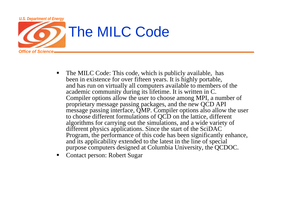

- The MILC Code: This code, which is publicly available, has been in existence for over fifteen years. It is highly portable, and has run on virtually all computers available to members of the academic community during its lifetime. It is written in C. Compiler options allow the user to choose among MPI, a number of proprietary message passing packages, and the new QCD API message passing interface, QMP. Compiler options also allow the user to choose different formulations of QCD on the lattice, different algorithms for carrying out the simulations, and a wide variety of different physics applications. Since the start of the SciDAC Program, the performance of this code has been significantly enhance, and its applicability extended to the latest in the line of special purpose computers designed at Columbia University, the QCDOC.
- Contact person: Robert Sugar